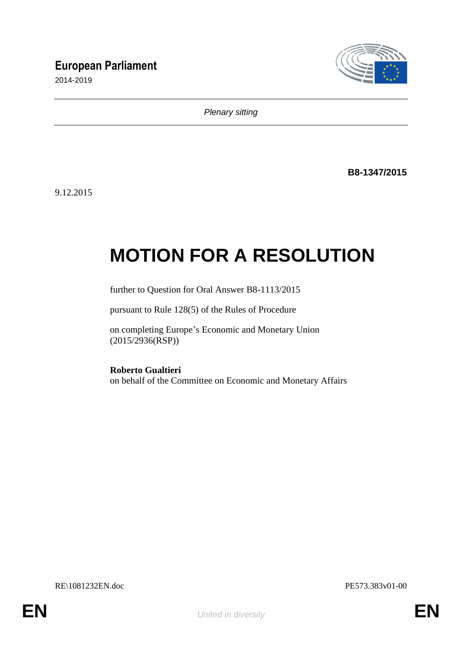## **European Parliament**

2014-2019



*Plenary sitting*

**B8-1347/2015**

9.12.2015

# **MOTION FOR A RESOLUTION**

further to Question for Oral Answer B8-1113/2015

pursuant to Rule 128(5) of the Rules of Procedure

on completing Europe's Economic and Monetary Union (2015/2936(RSP))

**Roberto Gualtieri** on behalf of the Committee on Economic and Monetary Affairs

RE\1081232EN.doc PE573.383v01-00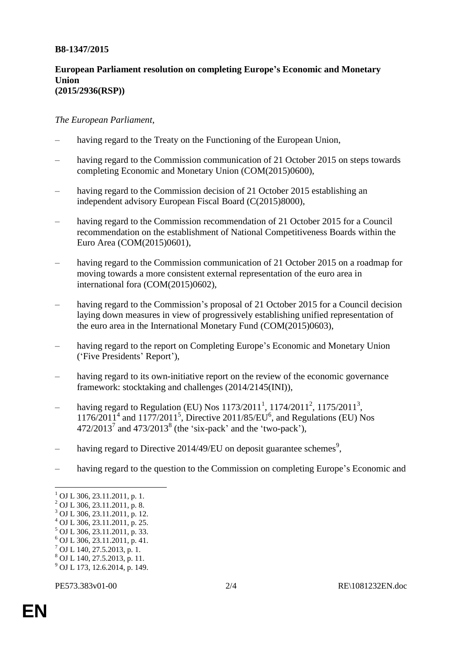#### **B8-1347/2015**

#### **European Parliament resolution on completing Europe's Economic and Monetary Union (2015/2936(RSP))**

#### *The European Parliament*,

- having regard to the Treaty on the Functioning of the European Union,
- having regard to the Commission communication of 21 October 2015 on steps towards completing Economic and Monetary Union (COM(2015)0600),
- having regard to the Commission decision of 21 October 2015 establishing an independent advisory European Fiscal Board (C(2015)8000),
- having regard to the Commission recommendation of 21 October 2015 for a Council recommendation on the establishment of National Competitiveness Boards within the Euro Area (COM(2015)0601),
- having regard to the Commission communication of 21 October 2015 on a roadmap for moving towards a more consistent external representation of the euro area in international fora (COM(2015)0602),
- having regard to the Commission's proposal of 21 October 2015 for a Council decision laying down measures in view of progressively establishing unified representation of the euro area in the International Monetary Fund (COM(2015)0603),
- having regard to the report on Completing Europe's Economic and Monetary Union ('Five Presidents' Report'),
- having regard to its own-initiative report on the review of the economic governance framework: stocktaking and challenges (2014/2145(INI)),
- having regard to Regulation (EU) Nos  $1173/2011^1$ ,  $1174/2011^2$ ,  $1175/2011^3$ ,  $1176/2011<sup>4</sup>$  and  $1177/2011<sup>5</sup>$ , Directive 2011/85/EU<sup>6</sup>, and Regulations (EU) Nos  $472/2013<sup>7</sup>$  and  $473/2013<sup>8</sup>$  (the 'six-pack' and the 'two-pack'),
- having regard to Directive 2014/49/EU on deposit guarantee schemes<sup>9</sup>,
- having regard to the question to the Commission on completing Europe's Economic and

- <sup>7</sup> OJ L 140, 27.5.2013, p. 1.
- <sup>8</sup> OJ L 140, 27.5.2013, p. 11.
- <sup>9</sup> OJ L 173, 12.6.2014, p. 149.

 $\overline{a}$ 

 $1$  OJ L 306, 23.11.2011, p. 1.

<sup>2</sup> OJ L 306, 23.11.2011, p. 8.

<sup>3</sup> OJ L 306, 23.11.2011, p. 12.

<sup>4</sup> OJ L 306, 23.11.2011, p. 25.

<sup>5</sup> OJ L 306, 23.11.2011, p. 33.  $6$  OJ L 306, 23.11.2011, p. 41.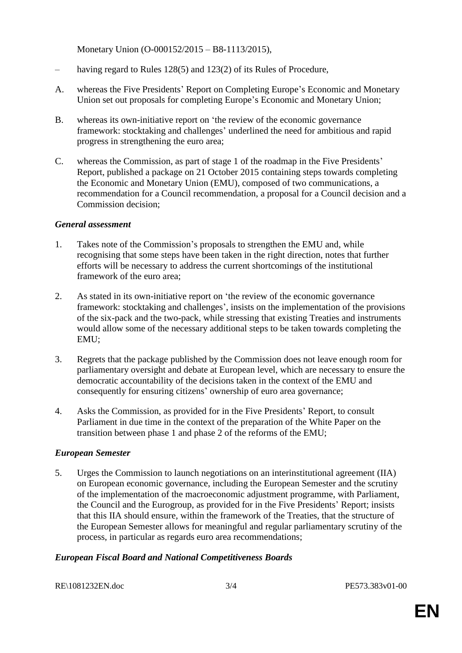Monetary Union (O-000152/2015 – B8-1113/2015),

- having regard to Rules 128(5) and 123(2) of its Rules of Procedure,
- A. whereas the Five Presidents' Report on Completing Europe's Economic and Monetary Union set out proposals for completing Europe's Economic and Monetary Union;
- B. whereas its own-initiative report on 'the review of the economic governance framework: stocktaking and challenges' underlined the need for ambitious and rapid progress in strengthening the euro area;
- C. whereas the Commission, as part of stage 1 of the roadmap in the Five Presidents' Report, published a package on 21 October 2015 containing steps towards completing the Economic and Monetary Union (EMU), composed of two communications, a recommendation for a Council recommendation, a proposal for a Council decision and a Commission decision;

#### *General assessment*

- 1. Takes note of the Commission's proposals to strengthen the EMU and, while recognising that some steps have been taken in the right direction, notes that further efforts will be necessary to address the current shortcomings of the institutional framework of the euro area;
- 2. As stated in its own-initiative report on 'the review of the economic governance framework: stocktaking and challenges', insists on the implementation of the provisions of the six-pack and the two-pack, while stressing that existing Treaties and instruments would allow some of the necessary additional steps to be taken towards completing the EMU;
- 3. Regrets that the package published by the Commission does not leave enough room for parliamentary oversight and debate at European level, which are necessary to ensure the democratic accountability of the decisions taken in the context of the EMU and consequently for ensuring citizens' ownership of euro area governance;
- 4. Asks the Commission, as provided for in the Five Presidents' Report, to consult Parliament in due time in the context of the preparation of the White Paper on the transition between phase 1 and phase 2 of the reforms of the EMU;

#### *European Semester*

5. Urges the Commission to launch negotiations on an interinstitutional agreement (IIA) on European economic governance, including the European Semester and the scrutiny of the implementation of the macroeconomic adjustment programme, with Parliament, the Council and the Eurogroup, as provided for in the Five Presidents' Report; insists that this IIA should ensure, within the framework of the Treaties, that the structure of the European Semester allows for meaningful and regular parliamentary scrutiny of the process, in particular as regards euro area recommendations;

#### *European Fiscal Board and National Competitiveness Boards*

RE\1081232EN.doc 3/4 PE573.383v01-00